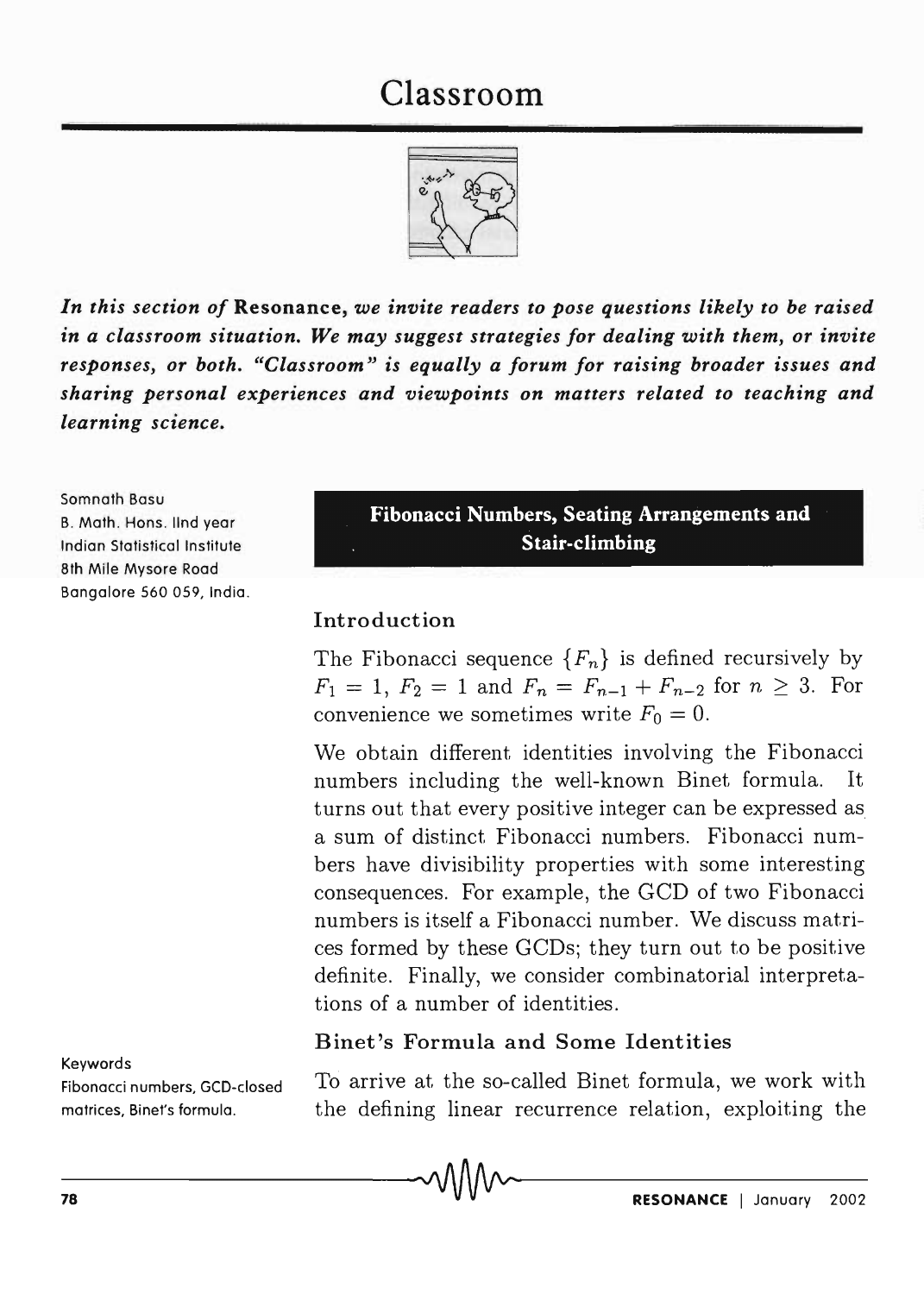# Classroom



*In this section of* Resonance, *we invite readers to pose questions likely to be raised in a classroom situation. We may suggest strategies for dealing with them, or invite responses, or both. "Classroom" is equally a forum for raising broader issues and sharing personal experiences and viewpoints on matters related to teaching and learning science.* 

Somnath Basu B. Math. Hons. IInd year Indian Statistical Institute 8th Mile Mysore Road Bangalore 560 059, India.

Keywords

Fibonacci Numbers, Seating Arrangements and . Stair-climbing

## Introduction

The Fibonacci sequence  ${F_n}$  is defined recursively by  $F_1 = 1, F_2 = 1$  and  $F_n = F_{n-1} + F_{n-2}$  for  $n \geq 3$ . For convenience we sometimes write  $F_0 = 0$ .

We obtain different identities involving the Fibonacci numbers including the well-known Binet formula. It turns out that every positive integer can be expressed as a sum of distinct Fibonacci numbers. Fibonacci numbers have divisibility properties with some interesting consequences. For example, the GCD of two Fibonacci numbers is itself a Fibonacci number. We discuss matrices formed by these GCDs; they turn out to be positive definite. Finally, we consider combinatorial interpretations of a number of identities.

## Binet's Formula and Some Identities

-78-------------------------------'~--------------------------------

Fibonacci numbers, GCD-closed To arrive at the so-called Binet formula, we work with matrices, Binet's formula. the defining linear recurrence relation, exploiting the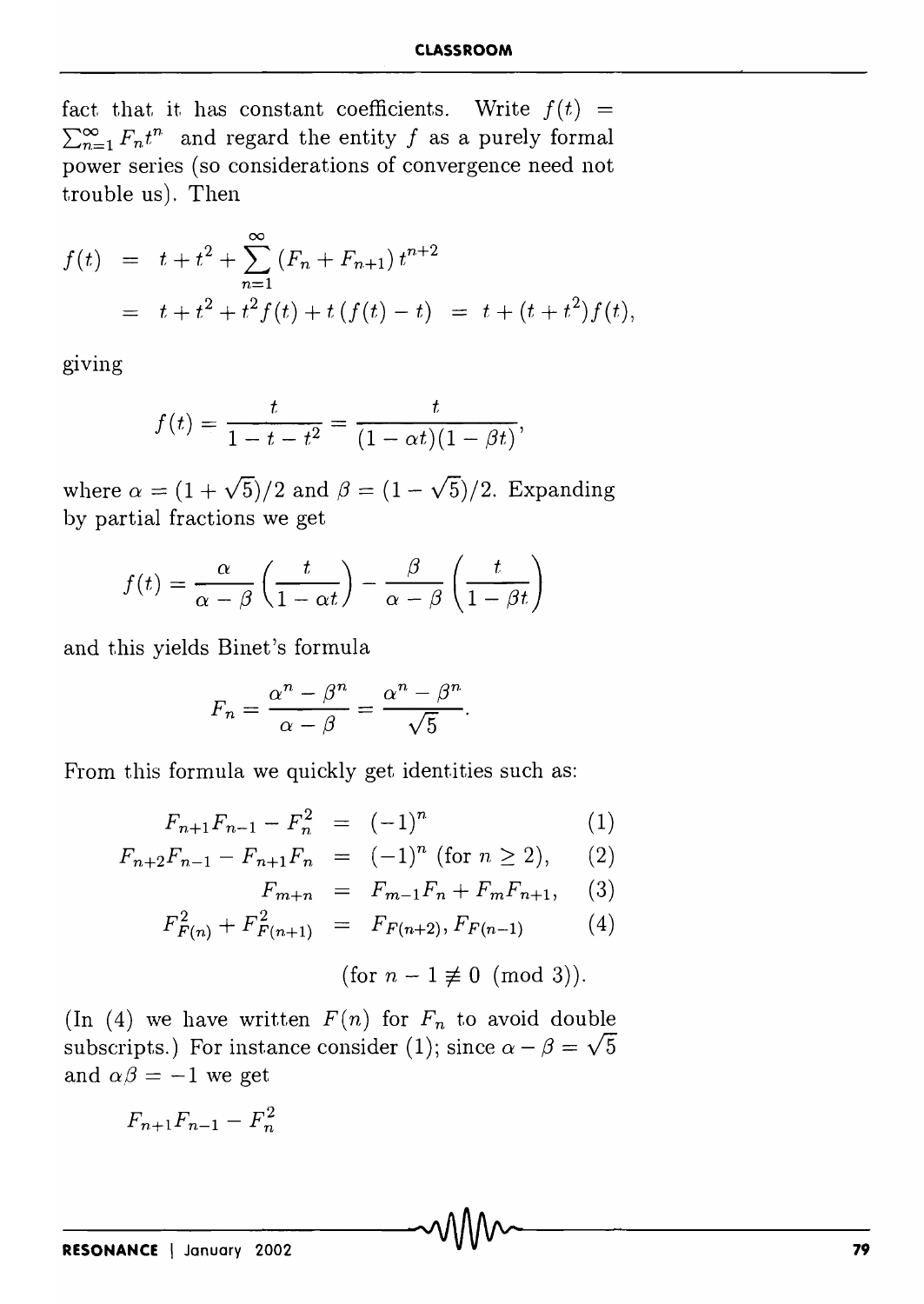fact that it has constant coefficients. Write  $f(t)$  =  $\sum_{n=1}^{\infty} F_n t^n$  and regard the entity *f* as a purely formal power series (so considerations of convergence need not trouble us). Then

$$
f(t) = t + t2 + \sum_{n=1}^{\infty} (F_n + F_{n+1}) t^{n+2}
$$
  
= t + t<sup>2</sup> + t<sup>2</sup>f(t) + t(f(t) - t) = t + (t + t<sup>2</sup>)f(t),

giving

$$
f(t) = \frac{t}{1 - t - t^2} = \frac{t}{(1 - \alpha t)(1 - \beta t)},
$$

where  $\alpha = (1 + \sqrt{5})/2$  and  $\beta = (1 - \sqrt{5})/2$ . Expanding by partial fractions we get

$$
f(t) = \frac{\alpha}{\alpha - \beta} \left( \frac{t}{1 - \alpha t} \right) - \frac{\beta}{\alpha - \beta} \left( \frac{t}{1 - \beta t} \right)
$$

and this yields Binet's formula

$$
F_n = \frac{\alpha^n - \beta^n}{\alpha - \beta} = \frac{\alpha^n - \beta^n}{\sqrt{5}}.
$$

From this formula we quickly get identities such as:

$$
F_{n+1}F_{n-1} - F_n^2 = (-1)^n \tag{1}
$$

$$
F_{n+2}F_{n-1} - F_{n+1}F_n = (-1)^n \text{ (for } n \ge 2), \qquad (2)
$$

$$
F_{m+n} = F_{m-1}F_n + F_m F_{n+1}, \quad (3)
$$

$$
F_{F(n)}^2 + F_{F(n+1)}^2 = F_{F(n+2)}, F_{F(n-1)} \tag{4}
$$

(for 
$$
n-1 \not\equiv 0 \pmod{3}
$$
).

(In (4) we have written  $F(n)$  for  $F_n$  to avoid double subscripts.) For instance consider (1); since  $\alpha - \beta = \sqrt{5}$ and  $\alpha\beta = -1$  we get

 $F_{n+1}F_{n-1} - F_n^2$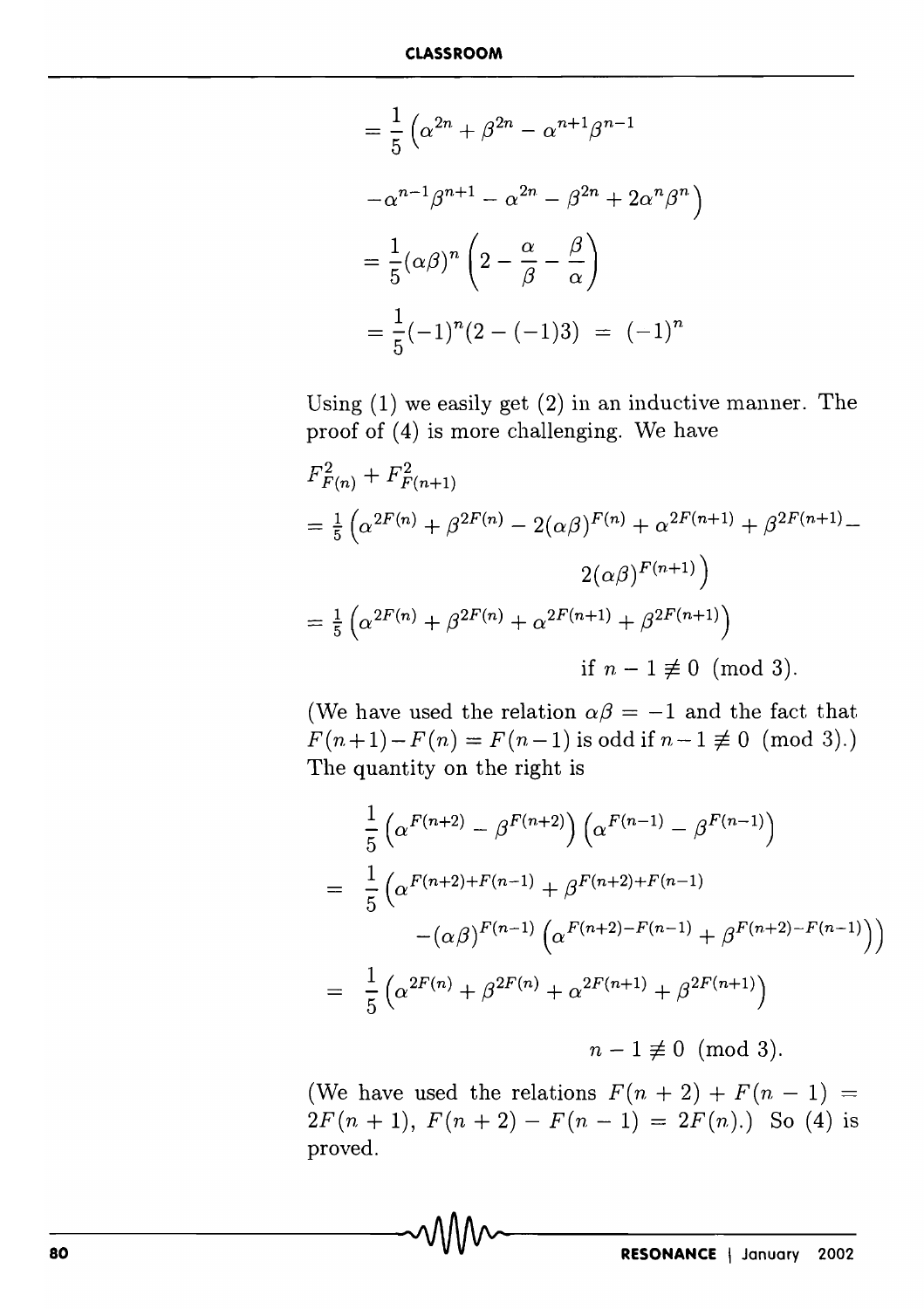$$
= \frac{1}{5} \left( \alpha^{2n} + \beta^{2n} - \alpha^{n+1} \beta^{n-1} \right)
$$

$$
- \alpha^{n-1} \beta^{n+1} - \alpha^{2n} - \beta^{2n} + 2\alpha^n \beta^n \right)
$$

$$
= \frac{1}{5} (\alpha \beta)^n \left( 2 - \frac{\alpha}{\beta} - \frac{\beta}{\alpha} \right)
$$

$$
= \frac{1}{5} (-1)^n (2 - (-1)\beta) = (-1)^n
$$

Using (1) we easily get (2) in an inductive manner. The proof of (4) is more challenging. We have

$$
F_{F(n)}^2 + F_{F(n+1)}^2
$$
  
=  $\frac{1}{5} \left( \alpha^{2F(n)} + \beta^{2F(n)} - 2(\alpha\beta)^{F(n)} + \alpha^{2F(n+1)} + \beta^{2F(n+1)} - 2(\alpha\beta)^{F(n+1)} \right)$   
=  $\frac{1}{5} \left( \alpha^{2F(n)} + \beta^{2F(n)} + \alpha^{2F(n+1)} + \beta^{2F(n+1)} \right)$   
if  $n - 1 \neq 0 \pmod{3}$ .

(We have used the relation  $\alpha\beta = -1$  and the fact that  $F(n+1) - F(n) = F(n-1)$  is odd if  $n-1 \not\equiv 0 \pmod{3}$ .) The quantity on the right is

$$
\frac{1}{5} \left( \alpha^{F(n+2)} - \beta^{F(n+2)} \right) \left( \alpha^{F(n-1)} - \beta^{F(n-1)} \right)
$$
\n
$$
= \frac{1}{5} \left( \alpha^{F(n+2)+F(n-1)} + \beta^{F(n+2)+F(n-1)} \right)
$$
\n
$$
- (\alpha \beta)^{F(n-1)} \left( \alpha^{F(n+2)-F(n-1)} + \beta^{F(n+2)-F(n-1)} \right)
$$
\n
$$
= \frac{1}{5} \left( \alpha^{2F(n)} + \beta^{2F(n)} + \alpha^{2F(n+1)} + \beta^{2F(n+1)} \right)
$$
\n
$$
n - 1 \neq 0 \pmod{3}.
$$

(We have used the relations  $F(n + 2) + F(n - 1) =$  $2F(n + 1), F(n + 2) - F(n - 1) = 2F(n).$  So (4) is proved.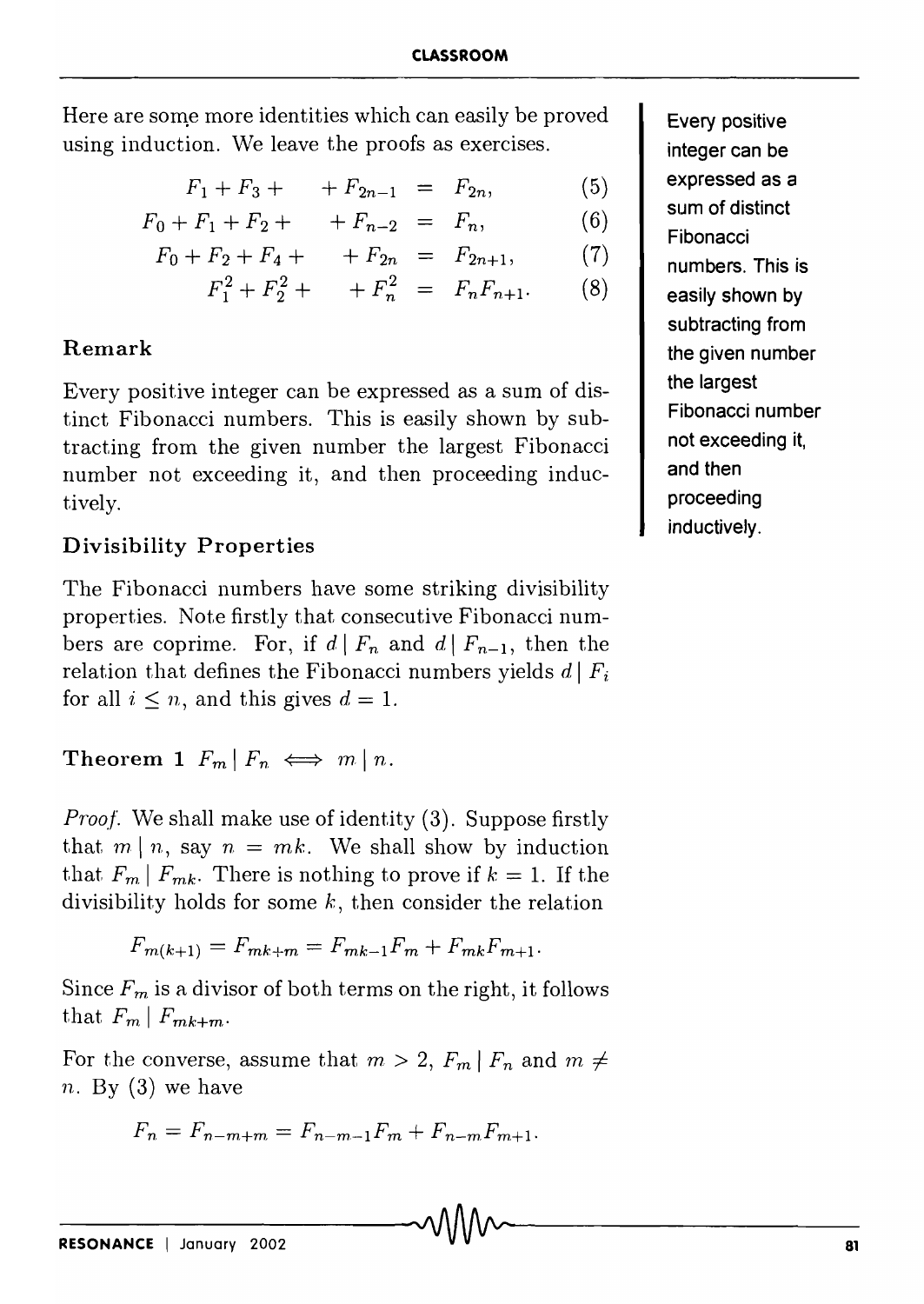Here are some more identities which can easily be proved using induction. We leave the proofs as exercises.

$$
F_1 + F_3 + \cdots + F_{2n-1} = F_{2n}, \qquad (5)
$$

$$
F_0 + F_1 + F_2 + + F_{n-2} = F_n, \tag{6}
$$

$$
F_0 + F_2 + F_4 + + F_{2n} = F_{2n+1}, \tag{7}
$$

$$
F_1^2 + F_2^2 + \cdots + F_n^2 = F_n F_{n+1}.
$$
 (8)

## **Remark**

Every positive integer can be expressed as a sum of distinct Fibonacci numbers. This is easily shown by subtracting from the given number the largest Fibonacci number not exceeding it, and then proceeding inductively.

## **Divisibility Properties**

The Fibonacci numbers have some striking divisibility properties. Note firstly that consecutive Fibonacci numbers are coprime. For, if  $d | F_n$  and  $d | F_{n-1}$ , then the relation that defines the Fibonacci numbers yields  $d \mid F_i$ for all  $i \leq n$ , and this gives  $d = 1$ .

**Theorem 1**  $F_m \mid F_n \iff m \mid n$ .

*Proof.* We shall make use of identity (3). Suppose firstly that  $m \mid n$ , say  $n = mk$ . We shall show by induction that  $F_m | F_{mk}$ . There is nothing to prove if  $k = 1$ . If the divisibility holds for some  $k$ , then consider the relation

$$
F_{m(k+1)} = F_{mk+m} = F_{mk-1}F_m + F_{mk}F_{m+1}.
$$

Since  $F_m$  is a divisor of both terms on the right, it follows that  $F_m \mid F_{mk+m}$ .

For the converse, assume that  $m > 2$ ,  $F_m | F_n$  and  $m \neq 1$ *n.* By (3) we have

$$
F_n = F_{n-m+m} = F_{n-m-1}F_m + F_{n-m}F_{m+1}.
$$

**Every positive integer can be expressed as a sum of distinct Fibonacci numbers. This is easily shown by subtracting from the given number the largest Fibonacci number not exceeding it,**  and then **proceeding inductively.**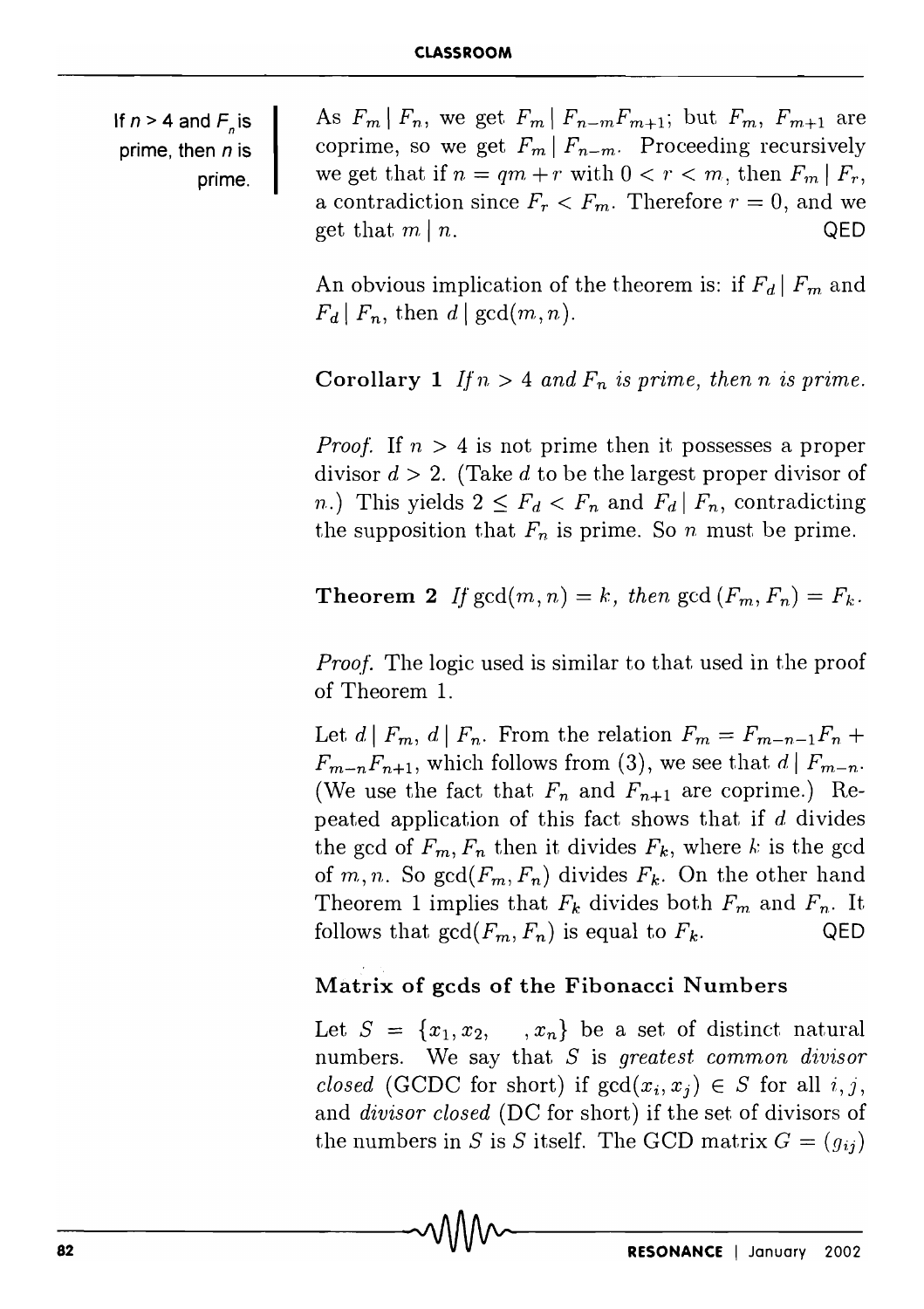If  $n > 4$  and  $F_n$  is prime, then *n* is prime.

As  $F_m | F_n$ , we get  $F_m | F_{n-m} F_{m+1}$ ; but  $F_m$ ,  $F_{m+1}$  are coprime, so we get  $F_m | F_{n-m}$ . Proceeding recursively we get that if  $n = qm + r$  with  $0 < r < m$ , then  $F_m | F_r$ , a contradiction since  $F_r < F_m$ . Therefore  $r = 0$ , and we get that  $m \mid n$ .  $QED$ 

An obvious implication of the theorem is: if  $F_d | F_m$  and  $F_d | F_n$ , then  $d | \gcd(m, n)$ .

Corollary 1 If  $n > 4$  and  $F_n$  is prime, then *n* is prime.

*Proof.* If  $n > 4$  is not prime then it possesses a proper divisor  $d > 2$ . (Take d to be the largest proper divisor of *n.*) This yields  $2 \leq F_d < F_n$  and  $F_d | F_n$ , contradicting the supposition that  $F_n$  is prime. So *n* must be prime.

**Theorem 2** *If*  $gcd(m, n) = k$ *, then*  $gcd(F_m, F_n) = F_k$ *.* 

*Proof.* The logic used is similar to that used in the proof of Theorem 1.

Let  $d \mid F_m$ ,  $d \mid F_n$ . From the relation  $F_m = F_{m-n-1}F_n +$  $F_{m-n}F_{n+1}$ , which follows from (3), we see that  $d \mid F_{m-n}$ . (We use the fact that  $F_n$  and  $F_{n+1}$  are coprime.) Repeated application of this fact shows that if *d* divides the gcd of  $F_m$ ,  $F_n$  then it divides  $F_k$ , where *k* is the gcd of m, n. So  $gcd(F_m, F_n)$  divides  $F_k$ . On the other hand Theorem 1 implies that  $F_k$  divides both  $F_m$  and  $F_n$ . It follows that  $gcd(F_m, F_n)$  is equal to  $F_k$ . QED

## Matrix of gcds of the Fibonacci Numbers

Let  $S = \{x_1, x_2, ..., x_n\}$  be a set of distinct natural numbers. We say that *S* is *greatest common divisor closed* (GCDC for short) if  $gcd(x_i, x_j) \in S$  for all i,j, and *divisor closed* (DC for short) if the set of divisors of the numbers in S is S itself. The GCD matrix  $G = (g_{ij})$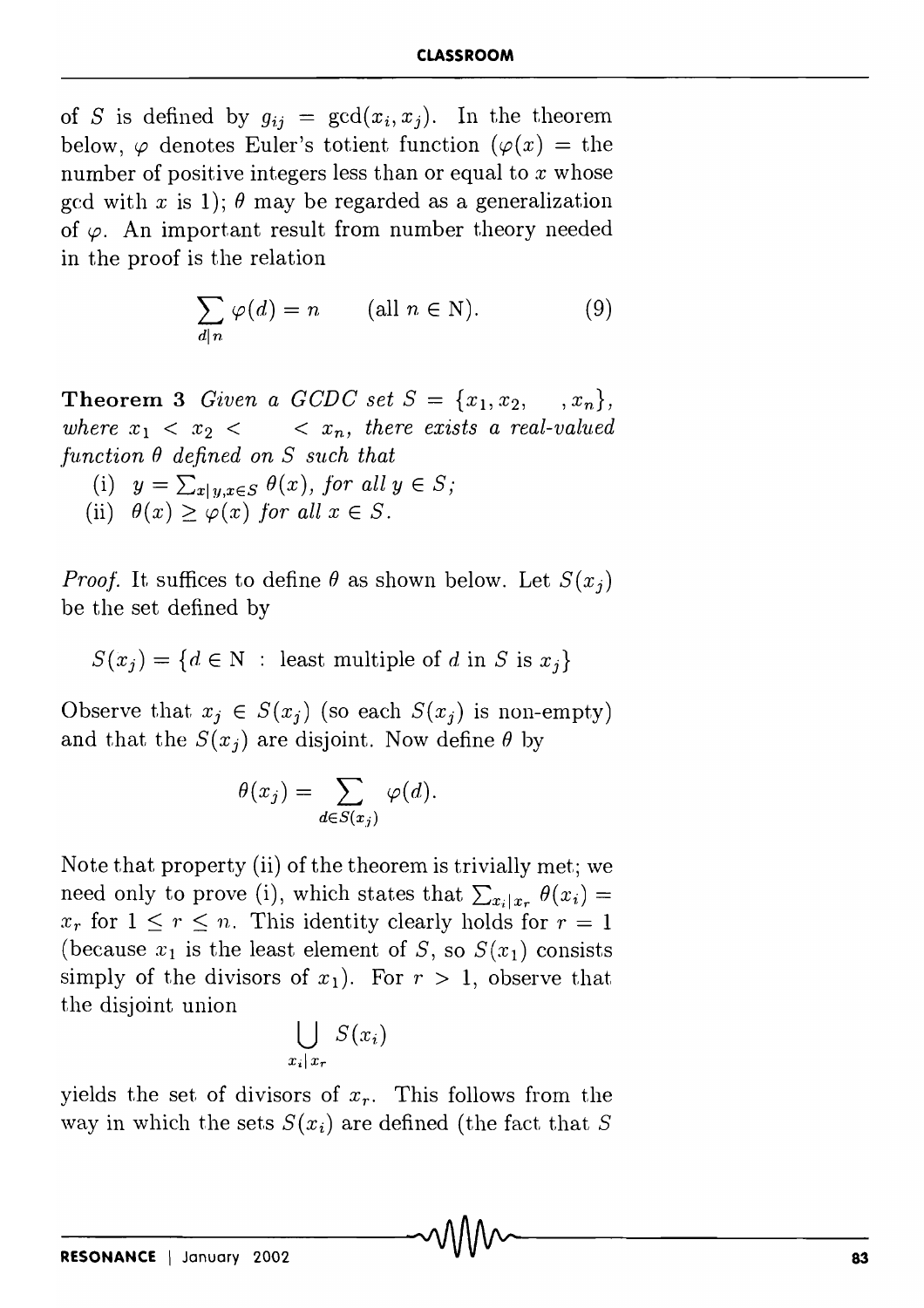of *S* is defined by  $g_{ij} = \gcd(x_i, x_j)$ . In the theorem below,  $\varphi$  denotes Euler's totient function  $(\varphi(x))$  = the number of positive integers less than or equal to *x* whose gcd with x is 1);  $\theta$  may be regarded as a generalization of  $\varphi$ . An important result from number theory needed in the proof is the relation

$$
\sum_{d|n} \varphi(d) = n \qquad \text{(all } n \in \mathbb{N}\text{)}.
$$
 (9)

**Theorem 3** *Given a GCDC set*  $S = \{x_1, x_2, \dots, x_n\},\$ *where*  $x_1 < x_2 < x_n$ , *there* exists a real-valued *function B defined on S such that* 

- (i)  $y = \sum_{x|y,x \in S} \theta(x)$ , for all  $y \in S$ ;
- (ii)  $\theta(x) \geq \varphi(x)$  for all  $x \in S$ .

*Proof.* It suffices to define  $\theta$  as shown below. Let  $S(x_j)$ be the set defined by

 $S(x_i) = \{d \in \mathbb{N} :$  least multiple of d in *S* is  $x_i\}$ 

Observe that  $x_i \in S(x_i)$  (so each  $S(x_i)$  is non-empty) and that the  $S(x_i)$  are disjoint. Now define  $\theta$  by

$$
\theta(x_j) = \sum_{d \in S(x_j)} \varphi(d).
$$

Note that property (ii) of the theorem is trivially met; we need only to prove (i), which states that  $\sum_{x_i|x_r} \theta(x_i) =$  $x_r$  for  $1 \leq r \leq n$ . This identity clearly holds for  $r = 1$ (because  $x_1$  is the least element of S, so  $S(x_1)$  consists simply of the divisors of  $x_1$ ). For  $r > 1$ , observe that the disjoint union

$$
\bigcup_{x_i|x_r} S(x_i)
$$

yields the set of divisors of  $x_r$ . This follows from the way in which the sets  $S(x_i)$  are defined (the fact that S)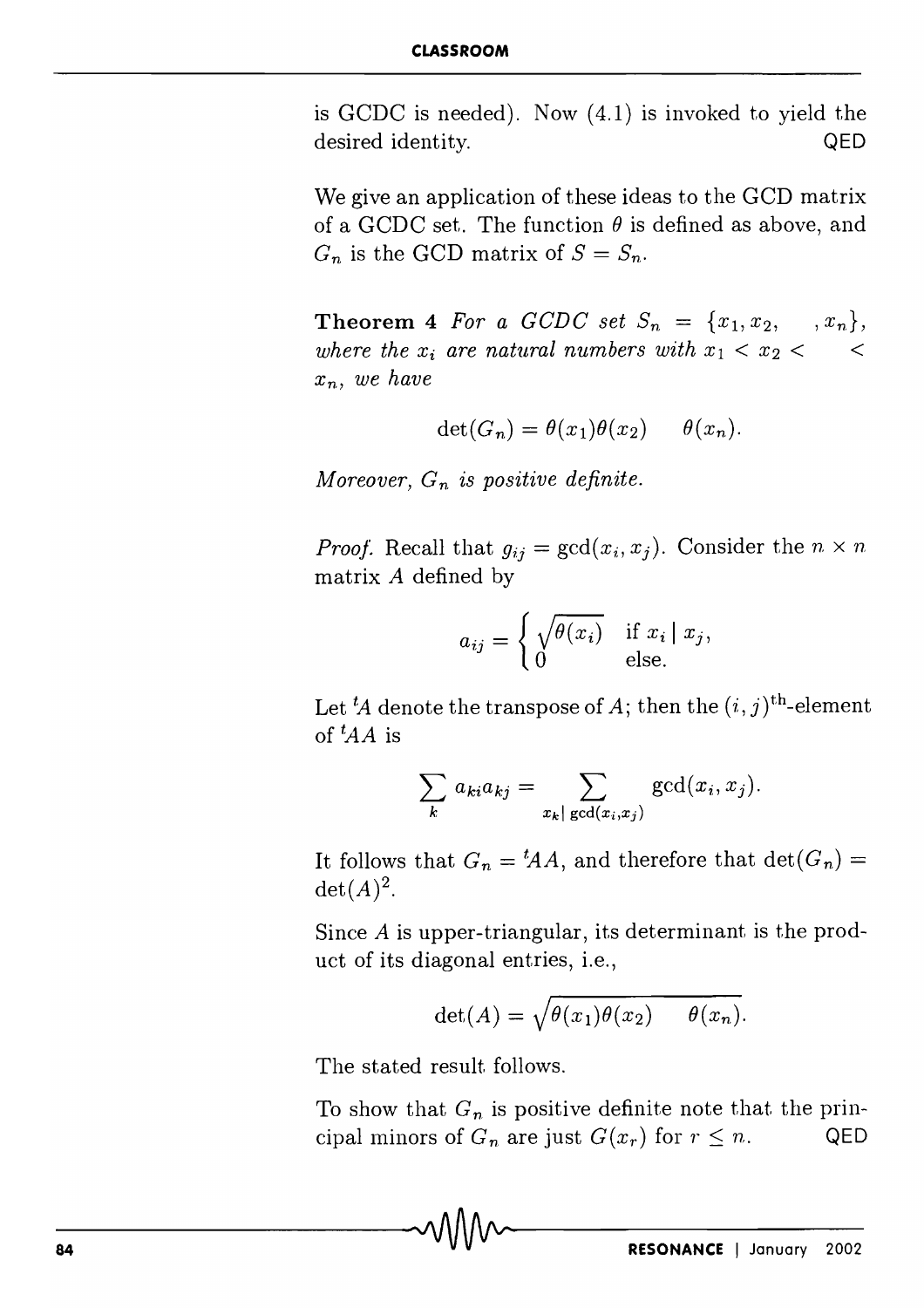is GCDC is needed). Now (4.1) is invoked to yield the desired identity. QED

We give an application of these ideas to the GCD matrix of a GCDC set. The function  $\theta$  is defined as above, and  $G_n$  is the GCD matrix of  $S = S_n$ .

**Theorem 4** *For a GCDC set*  $S_n = \{x_1, x_2, \ldots, x_n\},\$ *where the*  $x_i$  *are natural numbers with*  $x_1 < x_2 <$  < <  $x_n$ , we have

$$
\det(G_n) = \theta(x_1)\theta(x_2) \qquad \theta(x_n).
$$

*Moreover,*  $G_n$  *is positive definite.* 

*Proof.* Recall that  $g_{ij} = \gcd(x_i, x_j)$ . Consider the  $n \times n$ matrix *A* defined by

$$
a_{ij} = \begin{cases} \sqrt{\theta(x_i)} & \text{if } x_i \mid x_j, \\ 0 & \text{else.} \end{cases}
$$

Let  ${}^t\!A$  denote the transpose of A; then the  $(i, j)$ <sup>th</sup>-element of *tAA* is

$$
\sum_{k} a_{ki} a_{kj} = \sum_{x_k | \gcd(x_i, x_j)} \gcd(x_i, x_j).
$$

It follows that  $G_n = {}^t A A$ , and therefore that  $det(G_n) =$  $\det(A)^2$ .

Since *A* is upper-triangular, its determinant is the product of its diagonal entries, i.e.,

$$
\det(A) = \sqrt{\theta(x_1)\theta(x_2) - \theta(x_n)}.
$$

The stated result follows.

To show that  $G_n$  is positive definite note that the principal minors of  $G_n$  are just  $G(x_r)$  for  $r \leq n$ . QED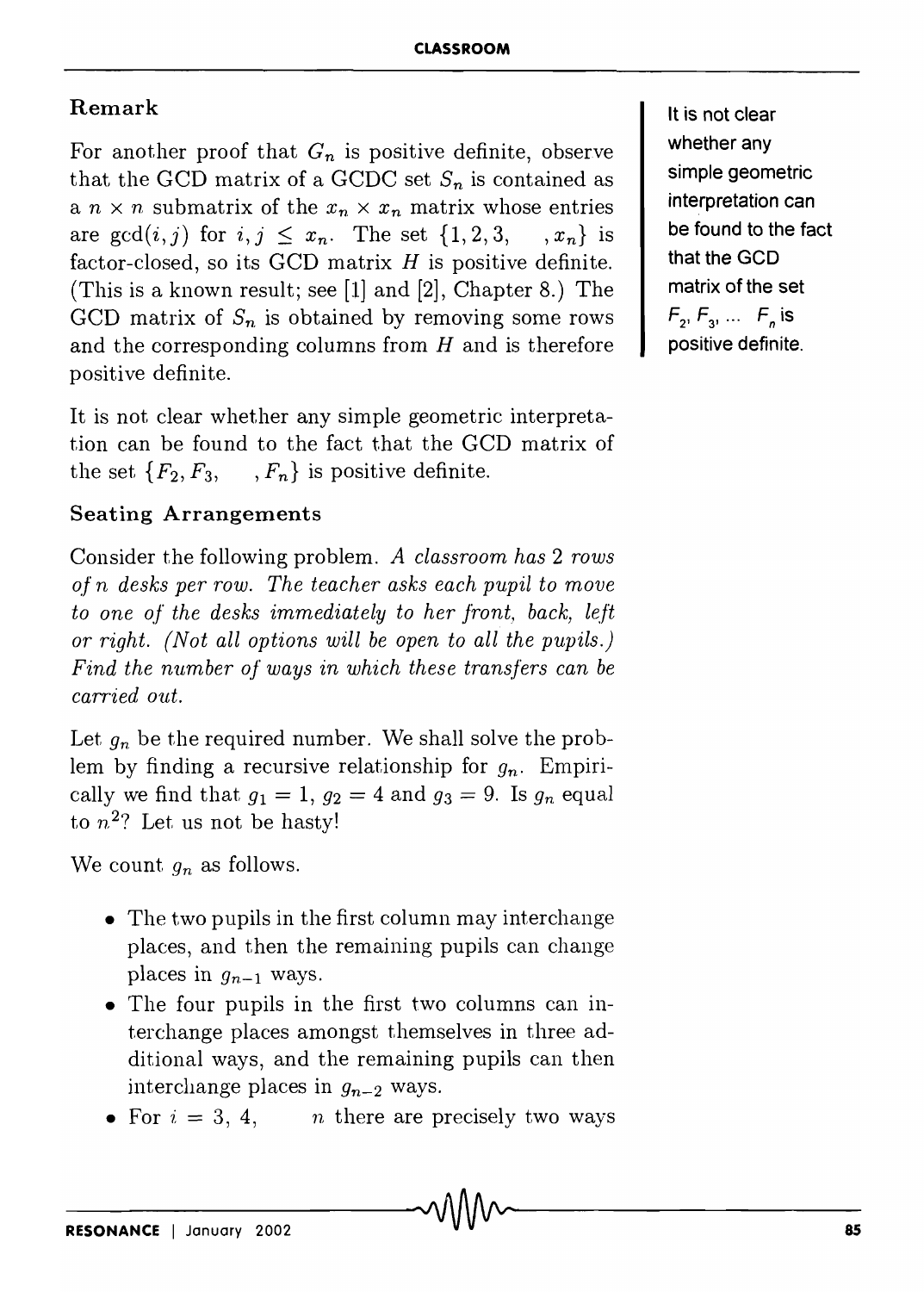## Remark

For another proof that  $G_n$  is positive definite, observe that the GCD matrix of a GCDC set  $S_n$  is contained as a  $n \times n$  submatrix of the  $x_n \times x_n$  matrix whose entries are  $gcd(i, j)$  for  $i, j \leq x_n$ . The set  $\{1, 2, 3, \ldots, x_n\}$  is factor-closed, so its GCD matrix *H* is positive definite. (This is a known result; see [1] and [2], Chapter 8.) The GCD matrix of  $S_n$  is obtained by removing some rows and the corresponding columns from *H* and is therefore positive definite.

It is not clear whether any simple geometric interpretation can be found to the fact that the GCD matrix of the set  $\{F_2, F_3,$ *,Fn}* is positive definite.

## Seating Arrangements

Consider the following problem. *A classroom has* 2 *rows of n desks per row. The teacher asks each pupil to move to one of the desks immediately to her front, back, left or right. (Not all options will be open to all the pupils.) Find the n'umber of ways in which these transfers can be carried out.* 

Let  $g_n$  be the required number. We shall solve the problem by finding a recursive relationship for *9n.* Empirically we find that  $g_1 = 1$ ,  $g_2 = 4$  and  $g_3 = 9$ . Is  $g_n$  equal to  $n^2$ ? Let us not be hasty!

We count *9n* as follows.

- The two pupils in the first column may interchange places, and then the remaining pupils can change places in  $g_{n-1}$  ways.
- The four pupils in the first two columns can interchange places amongst themselves in three additional ways, and the remaining pupils can then interchange places in *9n-2* ways.
- For  $i = 3, 4, n$  there are precisely two ways

It is not clear whether any simple geometric interpretation can be found to the fact that the GCD matrix of the set  $F_2, F_3, \ldots, F_n$  is positive definite.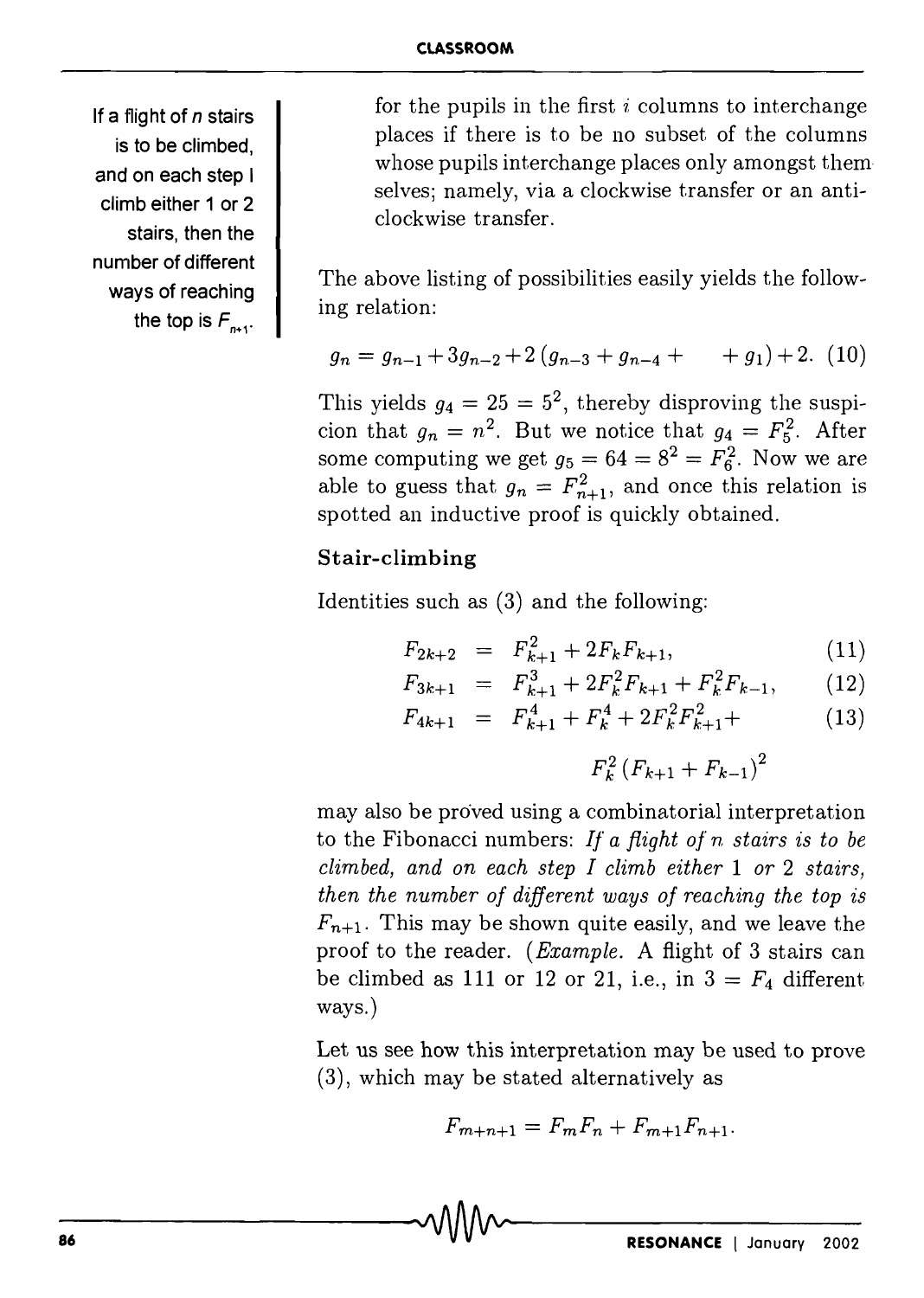If a flight of *n* stairs is to be climbed, and on each step I climb either 1 or 2 stairs, then the number of different ways of reaching the top is  $F_{n+1}$ . for the pupils in the first  $i$  columns to interchange places if there is to be no subset of the columns whose pupils interchange places only amongst them selves; namely, via a clockwise transfer or an anticlockwise transfer.

The above listing of possibilities easily yields the following relation:

$$
g_n = g_{n-1} + 3g_{n-2} + 2(g_{n-3} + g_{n-4} + g_1) + 2.
$$
 (10)

This yields  $q_4 = 25 = 5^2$ , thereby disproving the suspicion that  $g_n = n^2$ . But we notice that  $g_4 = F_5^2$ . After some computing we get  $g_5 = 64 = 8^2 = \tilde{F}_6^2$ . Now we are able to guess that  $g_n = F_{n+1}^2$ , and once this relation is spotted an inductive proof is quickly obtained.

## Stair-climbing

Identities such as (3) and the following:

$$
F_{2k+2} = F_{k+1}^2 + 2F_k F_{k+1}, \tag{11}
$$

$$
F_{3k+1} = F_{k+1}^3 + 2F_k^2 F_{k+1} + F_k^2 F_{k-1}, \qquad (12)
$$

$$
F_{4k+1} = F_{k+1}^4 + F_k^4 + 2F_k^2 F_{k+1}^2 + \t\t(13)
$$

$$
F_k^2 (F_{k+1} + F_{k-1})^2
$$

may also be proved using a combinatorial interpretation to the Fibonacci numbers: *If a fli9ht of n stairs is to be climbed, and on each step I climb either* 1 *or* 2 *stairs, then the number of different ways of reaching the top is*   $F_{n+1}$ . This may be shown quite easily, and we leave the proof to the reader. *(Example.* A flight of 3 stairs can be climbed as 111 or 12 or 21, i.e., in  $3 = F_4$  different ways.)

Let us see how this interpretation may be used to prove (3), which may be stated alternatively as

$$
F_{m+n+1} = F_m F_n + F_{m+1} F_{n+1}.
$$